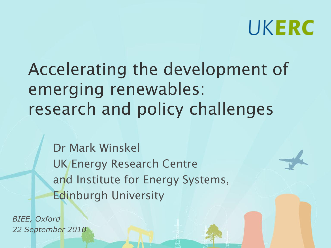# UKERC

Accelerating the development of emerging renewables: research and policy challenges

Dr Mark Winskel UK Energy Research Centre and Institute for Energy Systems, Edinburgh University

*BIEE, Oxford 22 September 2010*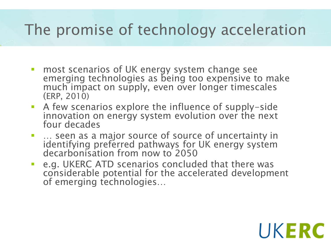### The promise of technology acceleration

- **n** most scenarios of UK energy system change see emerging technologies as being too expensive to make much impact on supply, even over longer timescales (ERP, 2010)
- A few scenarios explore the influence of supply-side innovation on energy system evolution over the next four decades
- … seen as a major source of source of uncertainty in identifying preferred pathways for UK energy system decarbonisation from now to 2050
- **EXELGE ATD SCENATION CONCLUDED THAT IS EXET** e.g. UKERC ATD scenarios concluded that there was considerable potential for the accelerated development of emerging technologies…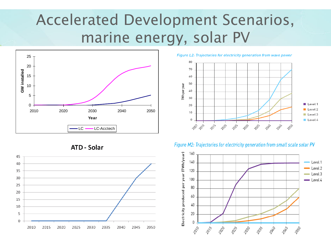### Accelerated Development Scenarios, marine energy, solar PV







80 70 60 50 TWh per year 40 30 Level 1 20 Level 2  $10$ Level 3  $\,0\,$ Level 4 2015-2020 2015 12010 2030-2035 2040 2045-2001 2050

Figure L2: Trajectories for electricity generation from wave power



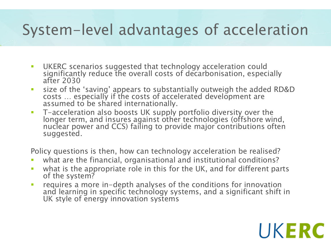#### System-level advantages of acceleration

- **UKERC scenarios suggested that technology acceleration could** significantly reduce the overall costs of decarbonisation, especially after 2030
- size of the 'saving' appears to substantially outweigh the added RD&D costs … especially if the costs of accelerated development are assumed to be shared internationally.
- T-acceleration also boosts UK supply portfolio diversity over the longer term, and insures against other technologies (offshore wind, nuclear power and CCS) failing to provide major contributions often suggested.

Policy questions is then, how can technology acceleration be realised?

- what are the financial, organisational and institutional conditions?
- what is the appropriate role in this for the UK, and for different parts of the system?
- requires a more in-depth analyses of the conditions for innovation and learning in specific technology systems, and a significant shift in UK style of energy innovation systems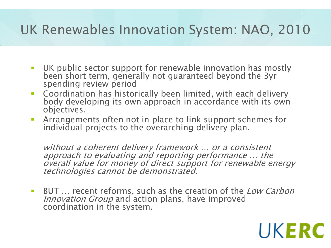#### UK Renewables Innovation System: NAO, 2010

- UK public sector support for renewable innovation has mostly been short term, generally not guaranteed beyond the 3yr spending review period
- **Coordination has historically been limited, with each delivery** body developing its own approach in accordance with its own objectives.
- Arrangements often not in place to link support schemes for individual projects to the overarching delivery plan.

without a coherent delivery framework … or a consistent approach to evaluating and reporting performance … the overall value for money of direct support for renewable energy technologies cannot be demonstrated.

**BUT** ... recent reforms, such as the creation of the *Low Carbon* Innovation Group and action plans, have improved coordination in the system.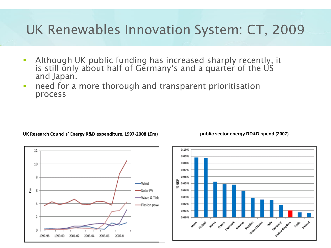#### UK Renewables Innovation System: CT, 2009

- Although UK public funding has increased sharply recently, it is still only about half of Germany's and a quarter of the US and Japan.
- **need for a more thorough and transparent prioritisation** process

**UK Research Councils' Energy R&D expenditure, 1997-2008 (£m) public sector energy RD&D spend (2007)**

12

Spain Weland



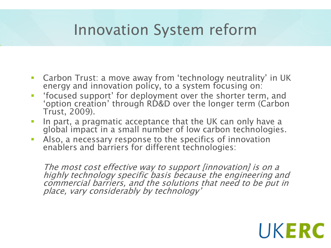#### Innovation System reform

- Carbon Trust: a move away from 'technology neutrality' in UK energy and innovation policy, to a system focusing on:
- 'focused support' for deployment over the shorter term, and 'option creation' through RD&D over the longer term (Carbon Trust, 2009).
- In part, a pragmatic acceptance that the UK can only have a global impact in a small number of low carbon technologies.
- Also, a necessary response to the specifics of innovation enablers and barriers for different technologies:

The most cost effective way to support [innovation] is on a highly technology specific basis because the engineering and commercial barriers, and the solutions that need to be put in place, vary considerably by technology'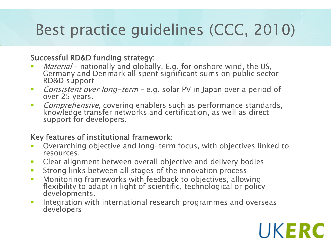## Best practice guidelines (CCC, 2010)

#### Successful RD&D funding strategy:

- *Material* nationally and globally. E.g. for onshore wind, the US, Germany and Denmark all spent significant sums on public sector RD&D support
- Consistent over long-term e.g. solar PV in Japan over a period of over 25 years.
- **Comprehensive, covering enablers such as performance standards,** knowledge transfer networks and certification, as well as direct support for developers.

#### Key features of institutional framework:

- Overarching objective and long-term focus, with objectives linked to resources.
- **EXECLE** Clear alignment between overall objective and delivery bodies
- **Strong links between all stages of the innovation process**
- Monitoring frameworks with feedback to objectives, allowing flexibility to adapt in light of scientific, technological or policy developments.
- **Integration with international research programmes and overseas** developers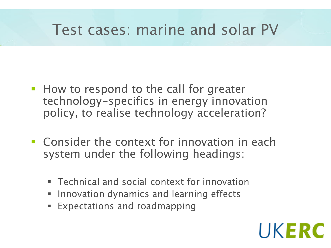#### Test cases: marine and solar PV

- **How to respond to the call for greater** technology-specifics in energy innovation policy, to realise technology acceleration?
- **EXCONSTRUGHT CONTENT** Context for innovation in each system under the following headings:
	- Technical and social context for innovation
	- **Innovation dynamics and learning effects**
	- Expectations and roadmapping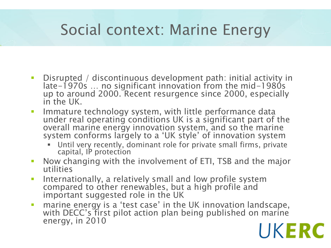#### Social context: Marine Energy

- Disrupted / discontinuous development path: initial activity in late-1970s … no significant innovation from the mid-1980s up to around 2000. Recent resurgence since 2000, especially in the UK.
- **IMMATURE 19 and 10 Figure 10 System, with little performance data** under real operating conditions UK is a significant part of the overall marine energy innovation system, and so the marine system conforms largely to a 'UK style' of innovation system
	- Until very recently, dominant role for private small firms, private capital, IP protection
- **Now changing with the involvement of ETI, TSB and the major** utilities
- Internationally, a relatively small and low profile system compared to other renewables, but a high profile and important suggested role in the UK
- **narine energy is a 'test case' in the UK innovation landscape,** with DECC's first pilot action plan being published on marine energy, in 2010 UKERC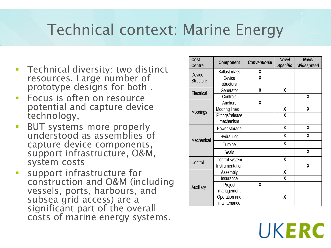#### Technical context: Marine Energy

- **Technical diversity: two distinct** resources. Large number of prototype designs for both .
- **Focus is often on resource** potential and capture device technology,
- **BUT systems more properly** understood as assemblies of capture device components, support infrastructure, O&M, system costs
- **SUPPORT Infrastructure for** construction and O&M (including vessels, ports, harbours, and subsea grid access) are a significant part of the overall<br>costs of marine energy systems. Technical diversity: two distinct<br>
resources. Large number of<br>
prototype designs for both .<br>
Focus is often on resource<br>
potential and capture device<br>
technology,<br>
BUT systems more properly<br>
understood as assemblies of<br>
ca

| Cost<br><b>Centre</b>      | <b>Component</b>              | <b>Conventional</b> | <b>Novel</b><br><b>Specific</b> | <b>Novel</b><br>Widespread |
|----------------------------|-------------------------------|---------------------|---------------------------------|----------------------------|
| Device<br><b>Structure</b> | <b>Ballast mass</b>           | X                   |                                 |                            |
|                            | Device                        | X                   |                                 |                            |
|                            | structure                     |                     |                                 |                            |
| Electrical                 | Generator                     | X                   | X                               |                            |
|                            | Controls                      |                     |                                 | χ                          |
| Moorings                   | Anchors                       | χ                   |                                 |                            |
|                            | Mooring lines                 |                     | χ                               | χ                          |
|                            | Fittings/release<br>mechanism |                     | X                               |                            |
| Mechanical                 | Power storage                 |                     | X                               | X                          |
|                            | <b>Hydraulics</b>             |                     | X                               | X                          |
|                            | Turbine                       |                     | X                               |                            |
|                            | <b>Seals</b>                  |                     |                                 | X                          |
| Control                    | Control system                |                     | X                               |                            |
|                            | Instrumentation               |                     |                                 | χ                          |
| Auxiliary                  | Assembly                      |                     | χ                               |                            |
|                            | Insurance                     |                     | χ                               |                            |
|                            | Project                       | X                   |                                 |                            |
|                            | management                    |                     |                                 |                            |
|                            | Operation and                 |                     | X                               |                            |
|                            | maintenance                   |                     |                                 |                            |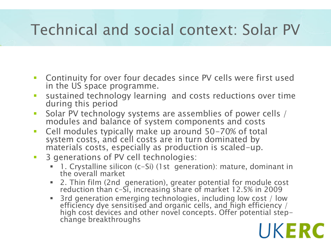### Technical and social context: Solar PV

- Continuity for over four decades since PV cells were first used in the US space programme.
- sustained technology learning and costs reductions over time during this period
- **Solar PV technology systems are assemblies of power cells** / modules and balance of system components and costs
- Cell modules typically make up around 50-70% of total system costs, and cell costs are in turn dominated by materials costs, especially as production is scaled-up.
- **3 generations of PV cell technologies:** 
	- 1. Crystalline silicon (c-Si) (1st generation): mature, dominant in the overall market
	- 2. Thin film (2nd generation), greater potential for module cost reduction than c-Si, increasing share of market 12.5% in 2009
	- **3rd generation emerging technologies, including low cost / low** efficiency dye sensitised and organic cells, and high efficiency / high cost devices and other novel concepts. Offer potential stepchange breakthroughs

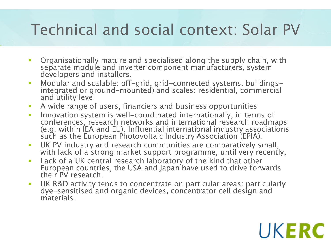### Technical and social context: Solar PV

- Organisationally mature and specialised along the supply chain, with separate module and inverter component manufacturers, system developers and installers.
- Modular and scalable: off-grid, grid-connected systems. buildingsintegrated or ground-mounted) and scales: residential, commercial and utility level
- A wide range of users, financiers and business opportunities
- **Innovation system is well-coordinated internationally, in terms of** conferences, research networks and international research roadmaps (e.g. within IEA and EU). Influential international industry associations such as the European Photovoltaic Industry Association (EPIA).
- **UK PV industry and research communities are comparatively small,** with lack of a strong market support programme, until very recently,
- Lack of a UK central research laboratory of the kind that other European countries, the USA and Japan have used to drive forwards their PV research.
- UK R&D activity tends to concentrate on particular areas: particularly dye-sensitised and organic devices, concentrator cell design and materials.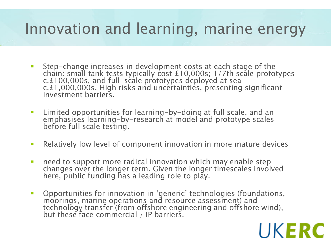#### Innovation and learning, marine energy

- Step-change increases in development costs at each stage of the chain: small tank tests typically cost £10,000s; 1/7th scale prototypes c.£100,000s, and full-scale prototypes deployed at sea c.£1,000,000s. High risks and uncertainties, presenting significant investment barriers.
- Limited opportunities for learning-by-doing at full scale, and an emphasises learning-by-research at model and prototype scales before full scale testing.
- Relatively low level of component innovation in more mature devices
- need to support more radical innovation which may enable stepchanges over the longer term. Given the longer timescales involved here, public funding has a leading role to play.
- **-** Opportunities for innovation in 'generic' technologies (foundations, moorings, marine operations and resource assessment) and technology transfer (from offshore engineering and offshore wind), but these face commercial / IP barriers.

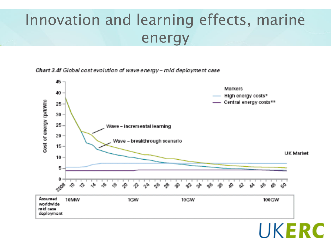#### Innovation and learning effects, marine energy

Chart 3.4f Global cost evolution of wave energy - mid deployment case

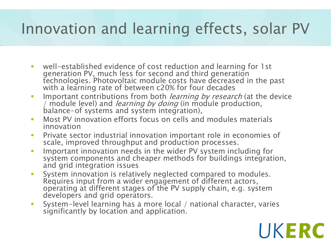#### Innovation and learning effects, solar PV

- well-established evidence of cost reduction and learning for 1st generation PV, much less for second and third generation technologies. Photovoltaic module costs have decreased in the past with a learning rate of between c20% for four decades
- Important contributions from both *learning by research* (at the device *Important communitions by doing* (in module production, balance-of systems and system integration),
- **Most PV innovation efforts focus on cells and modules materials** innovation
- **Private sector industrial innovation important role in economies of** scale, improved throughput and production processes.
- **IMPORTANGE IMM** Important innovation needs in the wider PV system including for system components and cheaper methods for buildings integration, and grid integration issues
- **System innovation is relatively neglected compared to modules.** Requires input from a wider engagement of different actors, operating at different stages of the PV supply chain, e.g. system developers and grid operators.
- System-level learning has a more local / national character, varies significantly by location and application.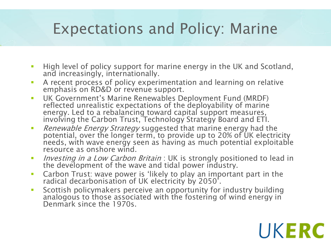#### Expectations and Policy: Marine

- **High level of policy support for marine energy in the UK and Scotland,** and increasingly, internationally.
- A recent process of policy experimentation and learning on relative emphasis on RD&D or revenue support.
- UK Government's Marine Renewables Deployment Fund (MRDF) reflected unrealistic expectations of the deployability of marine energy. Led to a rebalancing toward capital support measures, involving the Carbon Trust, Technology Strategy Board and ETI.
- Renewable Energy Strategy suggested that marine energy had the potential, over the longer term, to provide up to 20% of UK electricity needs, with wave energy seen as having as much potential exploitable resource as onshore wind.
- Investing in a Low Carbon Britain : UK is strongly positioned to lead in the development of the wave and tidal power industry.
- Carbon Trust: wave power is 'likely to play an important part in the radical decarbonisation of UK electricity by 2050'.
- Scottish policymakers perceive an opportunity for industry building analogous to those associated with the fostering of wind energy in Denmark since the 1970s.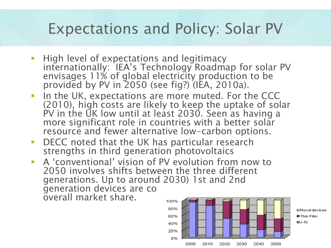#### Expectations and Policy: Solar PV

- **High level of expectations and legitimacy** internationally: IEA's Technology Roadmap for solar PV envisages 11% of global electricity production to be provided by PV in 2050 (see fig?) (IEA, 2010a).
- **IF In the UK, expectations are more muted. For the CCC** (2010), high costs are likely to keep the uptake of solar PV in the UK low until at least 2030. Seen as having a more significant role in countries with a better solar resource and fewer alternative low-carbon options.
- **DECC** noted that the UK has particular research strengths in third generation photovoltaics
- A 'conventional' vision of PV evolution from now to 2050 involves shifts between the three different generations. Up to around 2030) 1st and 2nd generation devices are co overall market share. 100%

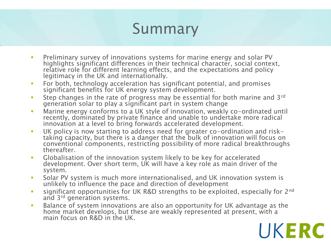### Summary

- Preliminary survey of innovations systems for marine energy and solar PV highlights significant differences in their technical character, social context, relative role for different learning effects, and the expectations and policy legitimacy in the UK and internationally.
- **For both, technology acceleration has significant potential, and promises** significant benefits for UK energy system development.
- **Step changes in the rate of progress may be essential for both marine and 3rd** generation solar to play a significant part in system change
- **Marine energy conforms to a UK style of innovation, weakly co-ordinated until** recently, dominated by private finance and unable to undertake more radical innovation at a level to bring forwards accelerated development.
- UK policy is now starting to address need for greater co-ordination and risktaking capacity, but there is a danger that the bulk of innovation will focus on conventional components, restricting possibility of more radical breakthroughs thereafter.
- Globalisation of the innovation system likely to be key for accelerated development. Over short term, UK will have a key role as main driver of the system.
- **Solar PV system is much more internationalised, and UK innovation system is** unlikely to influence the pace and direction of development
- **Significant opportunities for UK R&D strengths to be exploited, especially for 2<sup>nd</sup>** and 3rd generation systems.
- Balance of system innovations are also an opportunity for UK advantage as the home market develops, but these are weakly represented at present, with a main focus on R&D in the UK.

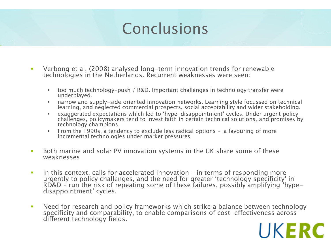#### Conclusions

- Verbong et al. (2008) analysed long-term innovation trends for renewable technologies in the Netherlands. Recurrent weaknesses were seen:
	- too much technology-push / R&D. Important challenges in technology transfer were underplayed.
	- narrow and supply-side oriented innovation networks. Learning style focussed on technical learning, and neglected commercial prospects, social acceptability and wider stakeholding.
	- exaggerated expectations which led to 'hype-disappointment' cycles. Under urgent policy challenges, policymakers tend to invest faith in certain technical solutions, and promises by technology champions.
	- From the 1990s, a tendency to exclude less radical options a favouring of more incremental technologies under market pressures
- **Both marine and solar PV innovation systems in the UK share some of these** weaknesses
- In this context, calls for accelerated innovation in terms of responding more urgently to policy challenges, and the need for greater 'technology specificity' in RD&D – run the risk of repeating some of these failures, possibly amplifying 'hypedisappointment' cycles.
- Need for research and policy frameworks which strike a balance between technology specificity and comparability, to enable comparisons of cost-effectiveness across different technology fields.

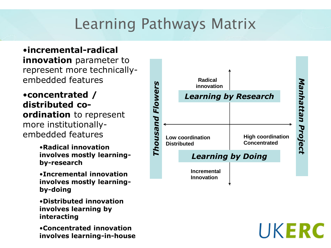### Learning Pathways Matrix

•**incremental-radical innovation** parameter to represent more technicallyembedded features

•**concentrated / distributed coordination** to represent more institutionallyembedded features

- •**Radical innovation involves mostly learningby-research**
- •**Incremental innovation involves mostly learningby-doing**
- •**Distributed innovation involves learning by interacting**
- •**Concentrated innovation involves learning-in-house**

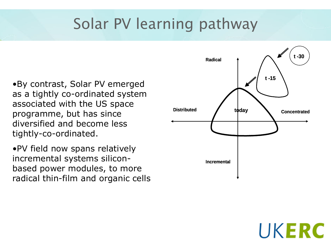### Solar PV learning pathway

•By contrast, Solar PV emerged as a tightly co-ordinated system associated with the US space programme, but has since diversified and become less tightly-co-ordinated.

•PV field now spans relatively incremental systems siliconbased power modules, to more radical thin-film and organic cells

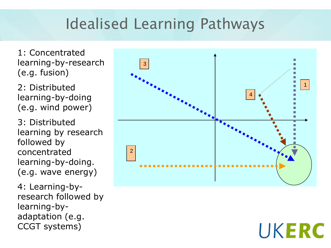### Idealised Learning Pathways

1: Concentrated learning-by-research (e.g. fusion)

2: Distributed learning-by-doing (e.g. wind power)

3: Distributed learning by research followed by concentrated learning-by-doing. (e.g. wave energy)

4: Learning-byresearch followed by learning-byadaptation (e.g. CCGT systems)